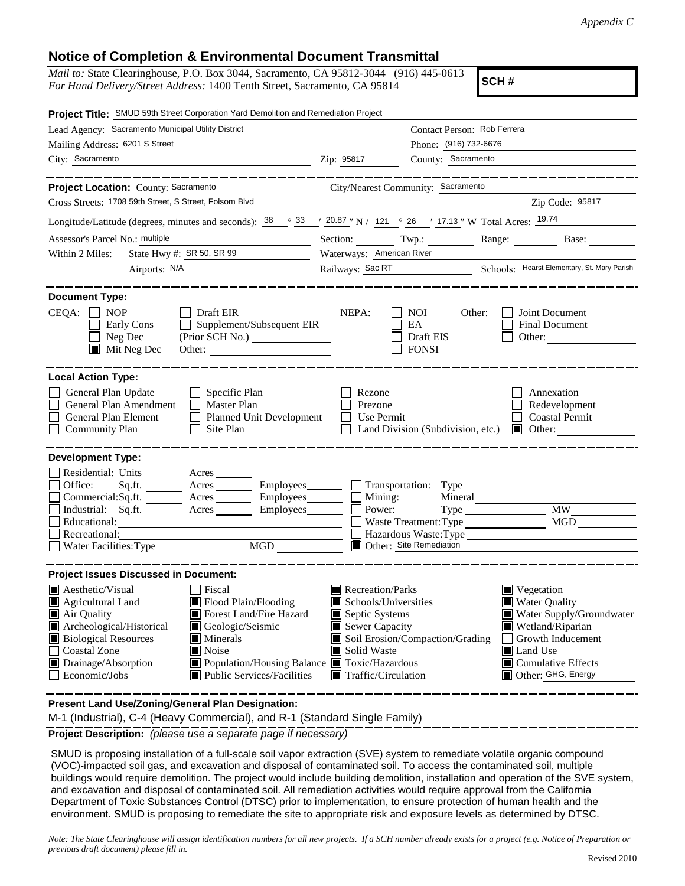## **Notice of Completion & Environmental Document Transmittal**

*Mail to:* State Clearinghouse, P.O. Box 3044, Sacramento, CA 95812-3044 (916) 445-0613 *For Hand Delivery/Street Address:* 1400 Tenth Street, Sacramento, CA 95814

**SCH #**

| Project Title: SMUD 59th Street Corporation Yard Demolition and Remediation Project                                                                                                                                                                                                                                                                                                                                        |                                                                                                                                   |                                                                                                                                                                                                                                 |  |  |
|----------------------------------------------------------------------------------------------------------------------------------------------------------------------------------------------------------------------------------------------------------------------------------------------------------------------------------------------------------------------------------------------------------------------------|-----------------------------------------------------------------------------------------------------------------------------------|---------------------------------------------------------------------------------------------------------------------------------------------------------------------------------------------------------------------------------|--|--|
| Lead Agency: Sacramento Municipal Utility District                                                                                                                                                                                                                                                                                                                                                                         |                                                                                                                                   | Contact Person: Rob Ferrera                                                                                                                                                                                                     |  |  |
| Mailing Address: 6201 S Street                                                                                                                                                                                                                                                                                                                                                                                             |                                                                                                                                   | Phone: (916) 732-6676                                                                                                                                                                                                           |  |  |
| City: Sacramento                                                                                                                                                                                                                                                                                                                                                                                                           | Zip: 95817                                                                                                                        | County: Sacramento                                                                                                                                                                                                              |  |  |
| Project Location: County: Sacramento<br>Cross Streets: 1708 59th Street, S Street, Folsom Blvd                                                                                                                                                                                                                                                                                                                             |                                                                                                                                   | City/Nearest Community: Sacramento<br>Zip Code: 95817                                                                                                                                                                           |  |  |
| Longitude/Latitude (degrees, minutes and seconds): $\frac{38}{9}$ $\frac{33}{20.87}$ "N / 121 $\degree$ 26 $\degree$ 17.13 " W Total Acres: $\frac{19.74}{9}$                                                                                                                                                                                                                                                              |                                                                                                                                   |                                                                                                                                                                                                                                 |  |  |
| Assessor's Parcel No.: multiple                                                                                                                                                                                                                                                                                                                                                                                            |                                                                                                                                   |                                                                                                                                                                                                                                 |  |  |
| State Hwy #: SR 50, SR 99<br>Within 2 Miles:                                                                                                                                                                                                                                                                                                                                                                               | Waterways: American River                                                                                                         | Section: Twp.: Range: Base:                                                                                                                                                                                                     |  |  |
| Airports: N/A                                                                                                                                                                                                                                                                                                                                                                                                              |                                                                                                                                   | Railways: Sac RT Schools: Hearst Elementary, St. Mary Parish                                                                                                                                                                    |  |  |
|                                                                                                                                                                                                                                                                                                                                                                                                                            |                                                                                                                                   |                                                                                                                                                                                                                                 |  |  |
| <b>Document Type:</b><br>CEQA:<br>$\blacksquare$ NOP<br>Draft EIR<br>Supplement/Subsequent EIR<br>Early Cons<br>$\Box$<br>Neg Dec<br>$\blacksquare$ Mit Neg Dec                                                                                                                                                                                                                                                            | NEPA:                                                                                                                             | Joint Document<br>NOI.<br>Other:<br>EA<br><b>Final Document</b><br>Draft EIS<br>Other:<br><b>FONSI</b>                                                                                                                          |  |  |
| <b>Local Action Type:</b><br>General Plan Update<br>Specific Plan<br>General Plan Amendment<br>Master Plan<br>General Plan Element<br><b>Planned Unit Development</b><br>Site Plan<br><b>Community Plan</b>                                                                                                                                                                                                                | Rezone<br>Prezone<br>Use Permit                                                                                                   | Annexation<br>Redevelopment<br><b>Coastal Permit</b><br>Land Division (Subdivision, etc.)<br>$\Box$ Other:                                                                                                                      |  |  |
| <b>Development Type:</b><br>Residential: Units<br>Acres<br>Office:<br>Sq.ft.<br>Acres ____________ Employees_________<br>Commercial:Sq.ft. Acres<br>Employees________<br>Industrial: Sq.ft. Acres<br>Employees________<br>Educational:<br>Recreational:<br>MGD<br>Water Facilities: Type                                                                                                                                   | Mining:<br>Power:                                                                                                                 | Transportation: Type<br>Mineral<br><b>MW</b><br>MGD<br>Waste Treatment: Type<br>Hazardous Waste:Type<br>Other: Site Remediation                                                                                                 |  |  |
| <b>Project Issues Discussed in Document:</b>                                                                                                                                                                                                                                                                                                                                                                               |                                                                                                                                   |                                                                                                                                                                                                                                 |  |  |
| <b>Aesthetic/Visual</b><br>Fiscal<br>Flood Plain/Flooding<br>Agricultural Land<br>Forest Land/Fire Hazard<br>Air Quality<br>Archeological/Historical<br>Geologic/Seismic<br><b>Biological Resources</b><br>$\blacksquare$ Minerals<br><b>Coastal Zone</b><br>$\blacksquare$ Noise<br>$\blacksquare$ Drainage/Absorption<br>■ Population/Housing Balance ■ Toxic/Hazardous<br>Economic/Jobs<br>■ Public Services/Facilities | Recreation/Parks<br>Schools/Universities<br>Septic Systems<br>Sewer Capacity<br>Solid Waste<br>$\blacksquare$ Traffic/Circulation | $\blacksquare$ Vegetation<br><b>Water Quality</b><br>Water Supply/Groundwater<br>Wetland/Riparian<br>Soil Erosion/Compaction/Grading<br>Growth Inducement<br><b>Land Use</b><br>$\Box$ Cumulative Effects<br>Other: GHG, Energy |  |  |

**Present Land Use/Zoning/General Plan Designation:**

M-1 (Industrial), C-4 (Heavy Commercial), and R-1 (Standard Single Family)

**Project Description:** *(please use a separate page if necessary)*

 SMUD is proposing installation of a full-scale soil vapor extraction (SVE) system to remediate volatile organic compound (VOC)-impacted soil gas, and excavation and disposal of contaminated soil. To access the contaminated soil, multiple buildings would require demolition. The project would include building demolition, installation and operation of the SVE system, and excavation and disposal of contaminated soil. All remediation activities would require approval from the California Department of Toxic Substances Control (DTSC) prior to implementation, to ensure protection of human health and the environment. SMUD is proposing to remediate the site to appropriate risk and exposure levels as determined by DTSC.

*Note: The State Clearinghouse will assign identification numbers for all new projects. If a SCH number already exists for a project (e.g. Notice of Preparation or previous draft document) please fill in.*